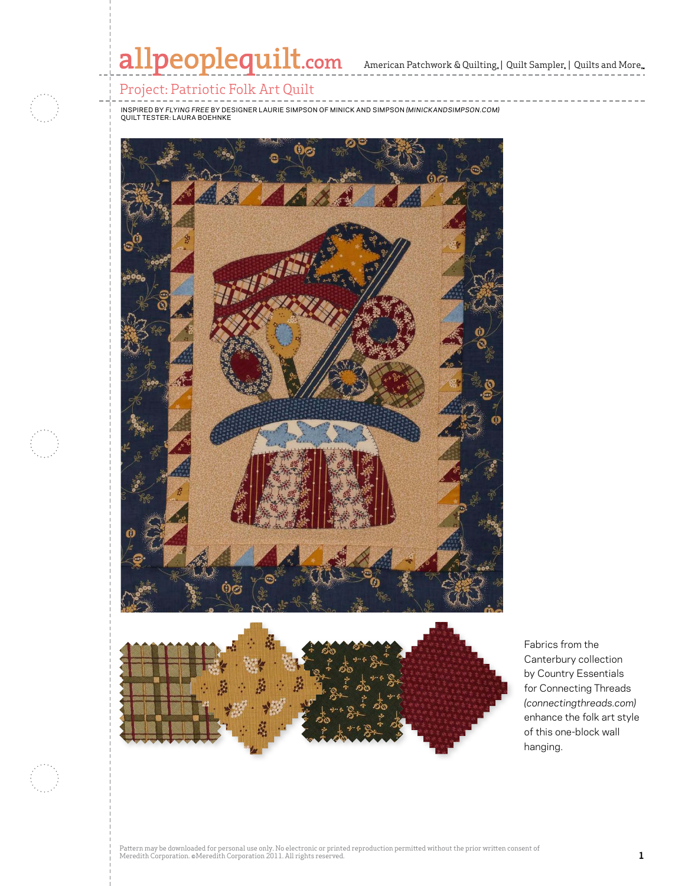# allpeoplequilt.com American Patchwork & Quilting, | Quilt Sampler, | Quilts and More..

#### Project: Patriotic Folk Art Quilt

inspired by *Flying Free* by Designer Laurie Simpson of Minick and Simpson *(minickandsimpson.com)* quilt Tester: Laura Boehnke



Fabrics from the Canterbury collection by Country Essentials for Connecting Threads *(connectingthreads.com)* enhance the folk art style of this one-block wall hanging.

Pattern may be downloaded for personal use only. No electronic or printed reproduction permitted without the prior written consent of Meredith Corporation. ©Meredith Corporation 2011. All rights reserved. **1**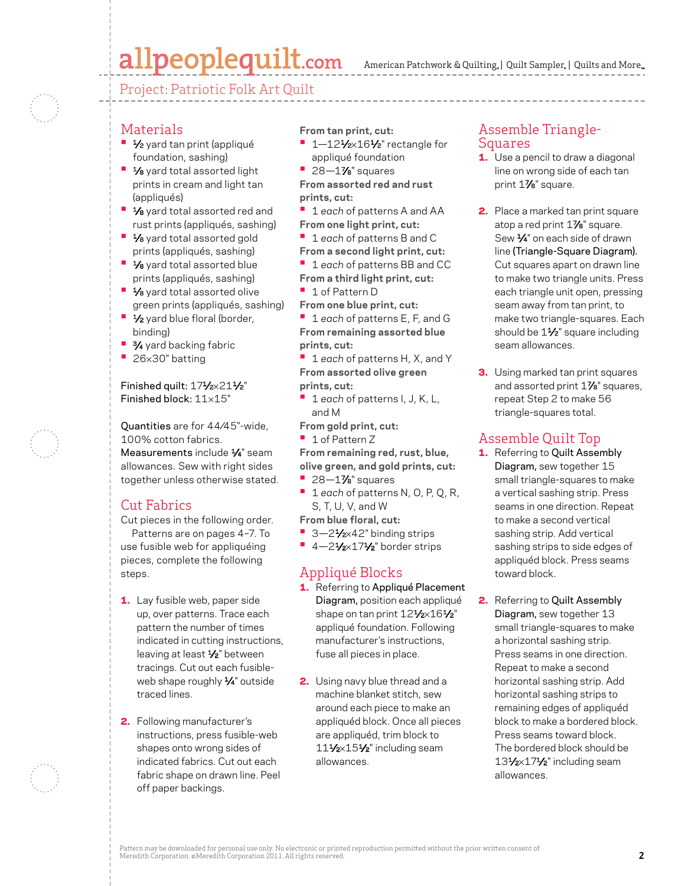### allpeoplequilt.com

American Patchwork & Quilting,  $|$  Quilt Sampler,  $|$  Quilts and More,

Project: Patriotic Folk Art Quilt

#### Materials

- **1⁄2** yard tan print (appliqué foundation, sashing)
- **1/8** yard total assorted light prints in cream and light tan (appliqués)
- **1/8** yard total assorted red and rust prints (appliqués, sashing)
- **1/8** yard total assorted gold prints (appliqués, sashing)
- **1/8** yard total assorted blue prints (appliqués, sashing)
- **1/8** yard total assorted olive green prints (appliqués, sashing)
- **1/<sub>2</sub>** yard blue floral (border, binding)
- **3⁄4** yard backing fabric
- **•**  <sup>26</sup>×30" batting

#### Finished quilt: 171/2×211/2" Finished block: 11×15"

Quantities are for 44⁄45"-wide, 100% cotton fabrics. Measurements include  $\frac{1}{4}$ " seam allowances. Sew with right sides together unless otherwise stated.

### Cut Fabrics

Cut pieces in the following order. Patterns are on pages 4–7. To use fusible web for appliquéing pieces, complete the following steps.

- 1. Lay fusible web, paper side up, over patterns. Trace each pattern the number of times indicated in cutting instructions, leaving at least 1/2" between tracings. Cut out each fusibleweb shape roughly 1/4" outside traced lines.
- 2. Following manufacturer's instructions, press fusible-web shapes onto wrong sides of indicated fabrics. Cut out each fabric shape on drawn line. Peel off paper backings.

**From tan print, cut:**

- 1-121/<sub>2×161</sub>/<sub>2</sub>" rectangle for appliqué foundation
- **•**  28—17⁄8" squares

**From assorted red and rust prints, cut:**

**•**  <sup>1</sup>*each* of patterns A and AA **From one light print, cut:**

**•**  <sup>1</sup>*each* of patterns B and C

**From a second light print, cut:**

**•**  <sup>1</sup>*each* of patterns BB and CC **From a third light print, cut:**

**•**  1 of Pattern D

**From one blue print, cut:**

**•**  <sup>1</sup>*each* of patterns E, F, and G **From remaining assorted blue prints, cut:**

**•**  <sup>1</sup>*each* of patterns H, X, and Y **From assorted olive green prints, cut:**

- **•**  <sup>1</sup>*each* of patterns I, J, K, L, and M
- **From gold print, cut:**

**•**  1 of Pattern Z

**From remaining red, rust, blue, olive green, and gold prints, cut:**

- **•**  28—17⁄8" squares
- **•**  <sup>1</sup>*each* of patterns N, O, P, Q, R, S, T, U, V, and W
- **From blue floral, cut:**
- 3-21⁄<sub>2×42</sub>" binding strips
- **•** 4-21/2×171/2" border strips

#### Appliqué Blocks

- 1. Referring to Appliqué Placement Diagram, position each appliqué shape on tan print 121/2×161/2" appliqué foundation. Following manufacturer's instructions, fuse all pieces in place.
- 2. Using navy blue thread and a machine blanket stitch, sew around each piece to make an appliquéd block. Once all pieces are appliquéd, trim block to 111⁄2×151⁄2" including seam allowances.

#### Assemble Triangle-Squares

- **1.** Use a pencil to draw a diagonal line on wrong side of each tan print 17/8" square.
- 2. Place a marked tan print square atop a red print 1/<sub>8</sub>" square. Sew 1⁄4" on each side of drawn line (Triangle-Square Diagram). Cut squares apart on drawn line to make two triangle units. Press each triangle unit open, pressing seam away from tan print, to make two triangle-squares. Each should be 11/2" square including seam allowances.
- **3.** Using marked tan print squares and assorted print 1%" squares, repeat Step 2 to make 56 triangle-squares total.

### Assemble Quilt Top

- 1. Referring to Quilt Assembly Diagram, sew together 15 small triangle-squares to make a vertical sashing strip. Press seams in one direction. Repeat to make a second vertical sashing strip. Add vertical sashing strips to side edges of appliquéd block. Press seams toward block.
- 2. Referring to Quilt Assembly Diagram, sew together 13 small triangle-squares to make a horizontal sashing strip. Press seams in one direction. Repeat to make a second horizontal sashing strip. Add horizontal sashing strips to remaining edges of appliquéd block to make a bordered block. Press seams toward block. The bordered block should be 131/2×171/2" including seam allowances.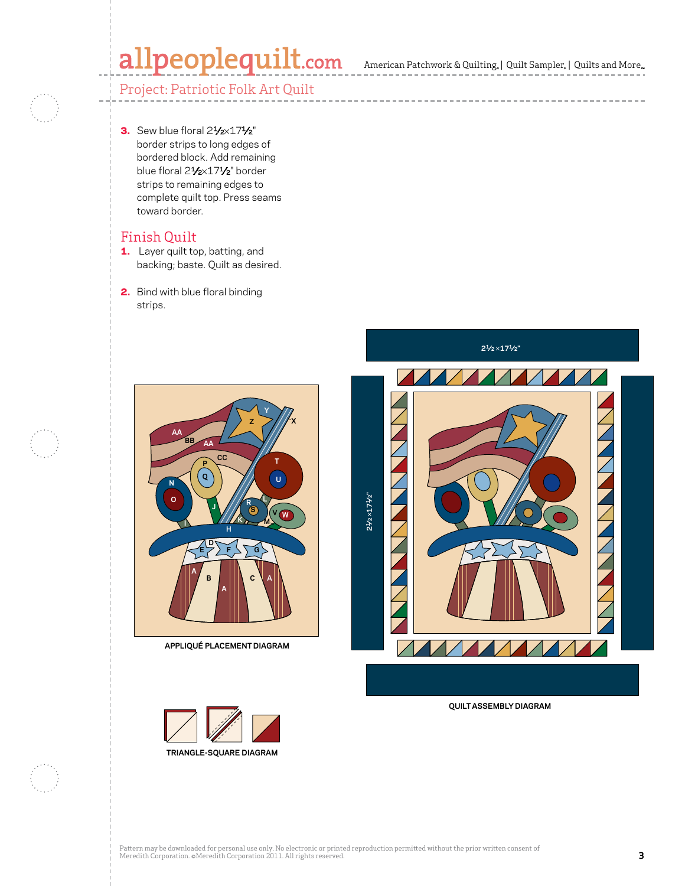# allpeoplequilt.com American Patchwork & Quilting, | Quilt Sampler, | Quilts and More..

-------------------------



3. Sew blue floral  $2\frac{1}{2}\times17\frac{1}{2}$ " border strips to long edges of bordered block. Add remaining blue floral 21/2×171/2" border strips to remaining edges to complete quilt top. Press seams toward border.

#### Finish Quilt

- 1. Layer quilt top, batting, and backing; baste. Quilt as desired.
- 2. Bind with blue floral binding strips.



**APPLIQUÉ PLACEMENT DIAGRAM**



**21⁄2**×**171⁄2"**



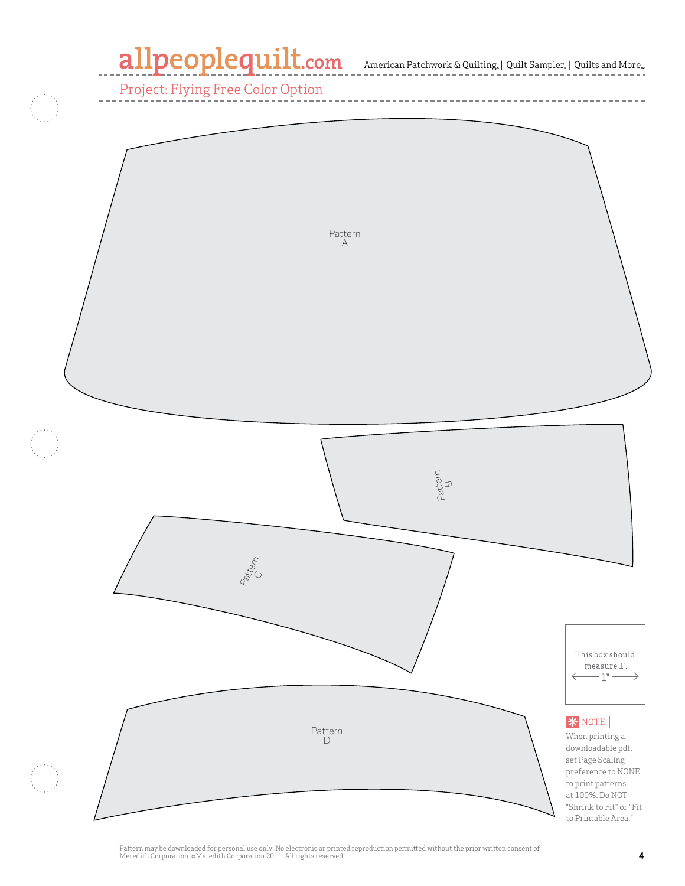## allpeoplequilt.com

 $\mbox{American}$  Patchwork<br>  $\&$  Quilting,  $\mid$  Quilt Sampler,<br>  $\mid$  Quilts and More...

Project: Flying Free Color Option



Pattern may be downloaded for personal use only. No electronic or printed reproduction permitted without the prior written consent of Meredith Corporation. ©Meredith Corporation 2011. All rights reserved. **All reserved.** All rights reserved. **4**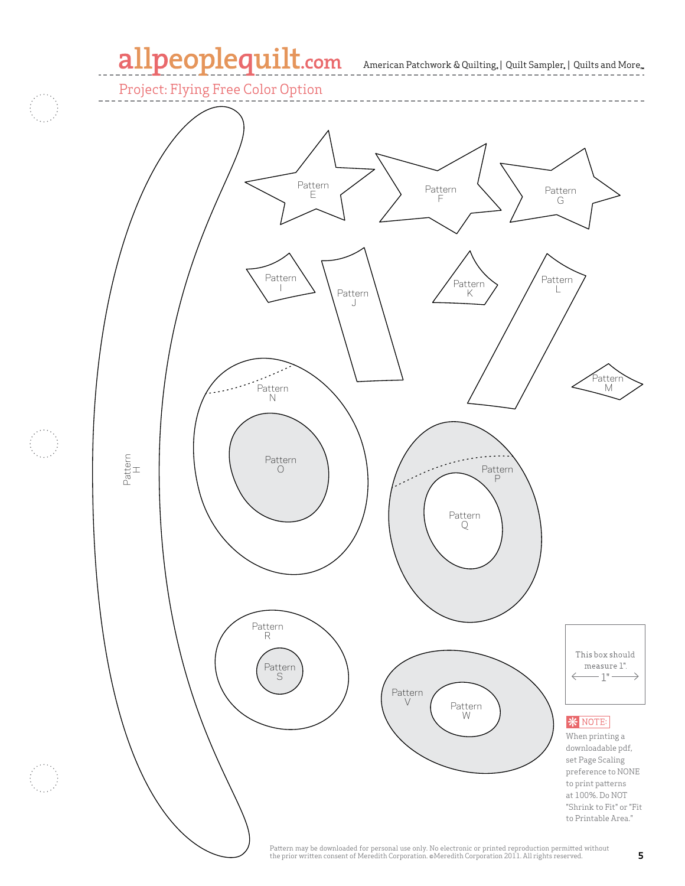### allpeoplequilt.com

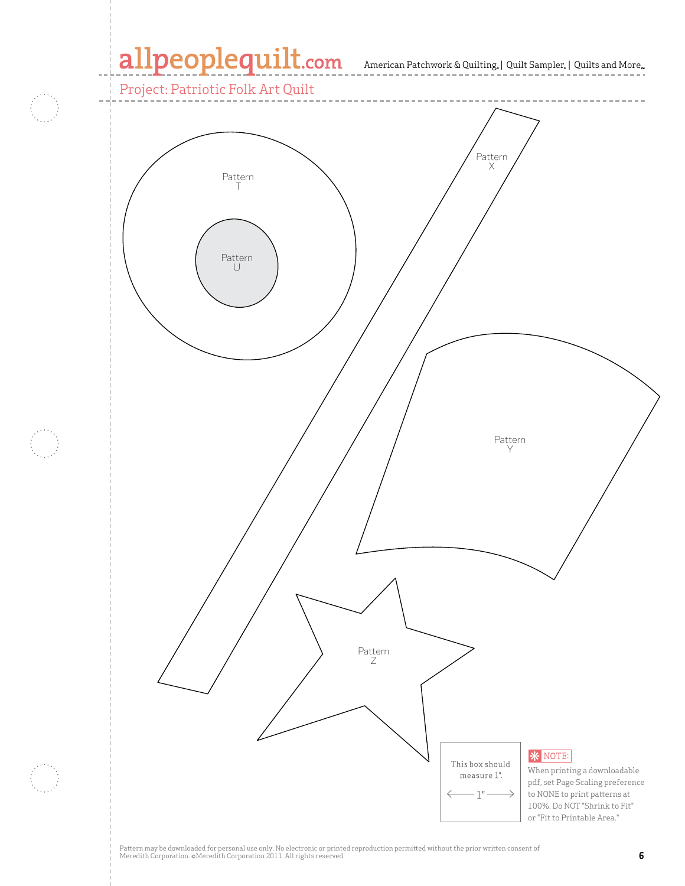### allpeoplequilt.com American Patchwork & Quilting. | Quilt Sampler. | Quilts and More..

Project: Patriotic Folk Art Quilt